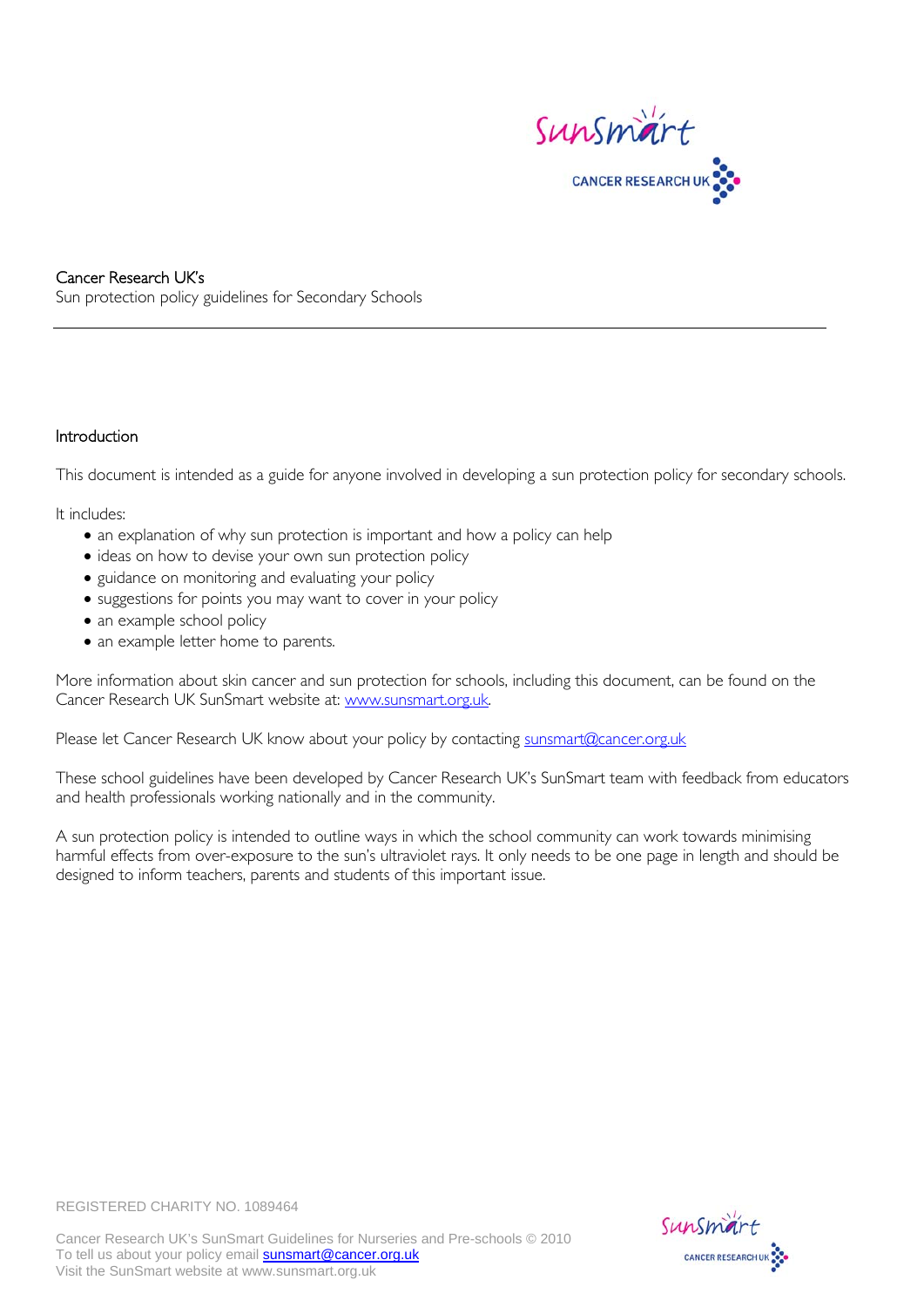

### Cancer Research UK's Sun protection policy guidelines for Secondary Schools

### Introduction

This document is intended as a guide for anyone involved in developing a sun protection policy for secondary schools.

It includes:

- an explanation of why sun protection is important and how a policy can help
- ideas on how to devise your own sun protection policy
- guidance on monitoring and evaluating your policy
- suggestions for points you may want to cover in your policy
- an example school policy
- an example letter home to parents.

More information about skin cancer and sun protection for schools, including this document, can be found on the Cancer Research UK SunSmart website at: [www.sunsmart.org.uk.](http://www.sunsmart.org.uk/)

Please let Cancer Research UK know about your policy by contacting [sunsmart@cancer.org.uk](mailto:sunsmart@cancer.org.uk)

These school guidelines have been developed by Cancer Research UK's SunSmart team with feedback from educators and health professionals working nationally and in the community.

A sun protection policy is intended to outline ways in which the school community can work towards minimising harmful effects from over-exposure to the sun's ultraviolet rays. It only needs to be one page in length and should be designed to inform teachers, parents and students of this important issue.



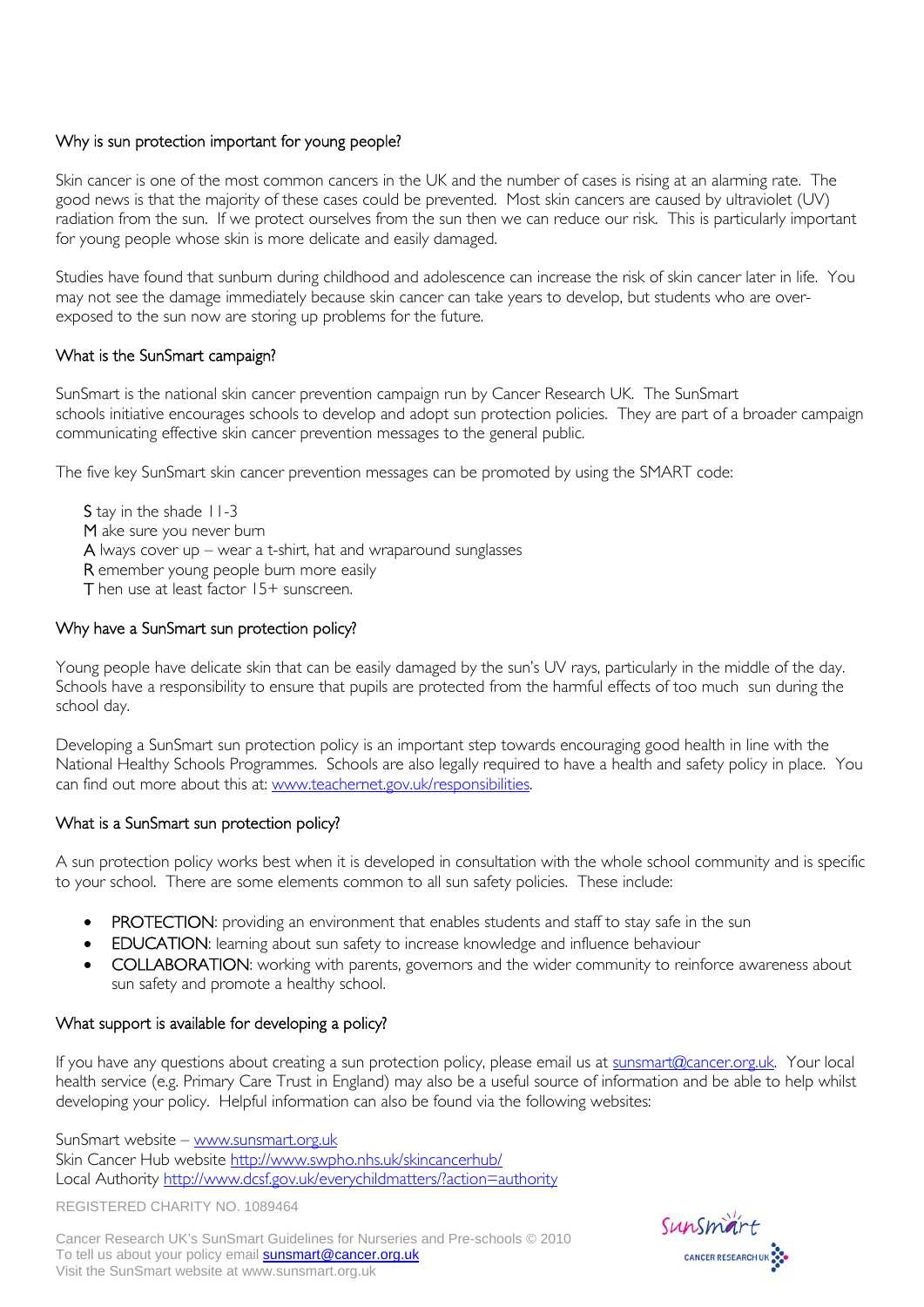## Why is sun protection important for young people?

Skin cancer is one of the most common cancers in the UK and the number of cases is rising at an alarming rate. The good news is that the majority of these cases could be prevented. Most skin cancers are caused by ultraviolet (UV) radiation from the sun. If we protect ourselves from the sun then we can reduce our risk. This is particularly important for young people whose skin is more delicate and easily damaged.

Studies have found that sunburn during childhood and adolescence can increase the risk of skin cancer later in life. You may not see the damage immediately because skin cancer can take years to develop, but students who are overexposed to the sun now are storing up problems for the future.

## What is the SunSmart campaign?

SunSmart is the national skin cancer prevention campaign run by Cancer Research UK. The SunSmart schools initiative encourages schools to develop and adopt sun protection policies. They are part of a broader campaign communicating effective skin cancer prevention messages to the general public.

The five key SunSmart skin cancer prevention messages can be promoted by using the SMART code:

S tay in the shade 11-3 M ake sure you never burn A lways cover up – wear a t-shirt, hat and wraparound sunglasses R emember young people burn more easily T hen use at least factor 15+ sunscreen.

## Why have a SunSmart sun protection policy?

Young people have delicate skin that can be easily damaged by the sun's UV rays, particularly in the middle of the day. Schools have a responsibility to ensure that pupils are protected from the harmful effects of too much sun during the school day.

Developing a SunSmart sun protection policy is an important step towards encouraging good health in line with the National Healthy Schools Programmes. Schools are also legally required to have a health and safety policy in place. You can find out more about this at: [www.teachernet.gov.uk/responsibilities](http://www.teachernet.gov.uk/responsibilities).

## What is a SunSmart sun protection policy?

A sun protection policy works best when it is developed in consultation with the whole school community and is specific to your school. There are some elements common to all sun safety policies. These include:

- PROTECTION: providing an environment that enables students and staff to stay safe in the sun
- EDUCATION: learning about sun safety to increase knowledge and influence behaviour
- COLLABORATION: working with parents, governors and the wider community to reinforce awareness about sun safety and promote a healthy school.

## What support is available for developing a policy?

If you have any questions about creating a sun protection policy, please email us at [sunsmart@cancer.org.uk.](mailto:sunsmart@cancer.org.uk) Your local health service (e.g. Primary Care Trust in England) may also be a useful source of information and be able to help whilst developing your policy. Helpful information can also be found via the following websites:

SunSmart website – [www.sunsmart.org.uk](http://www.sunsmart.org.uk/)  Skin Cancer Hub website <http://www.swpho.nhs.uk/skincancerhub/> Local Authority http://www.dcsf.gov.uk/everychildmatters/?action=authority

REGISTERED CHARITY NO. 1089464

Cancer Research UK's SunSmart Guidelines for Nurseries and Pre-schools © 2010 To tell us about your policy email **sunsmart@cancer.org.uk** Visit the SunSmart website at www.sunsmart.org.uk

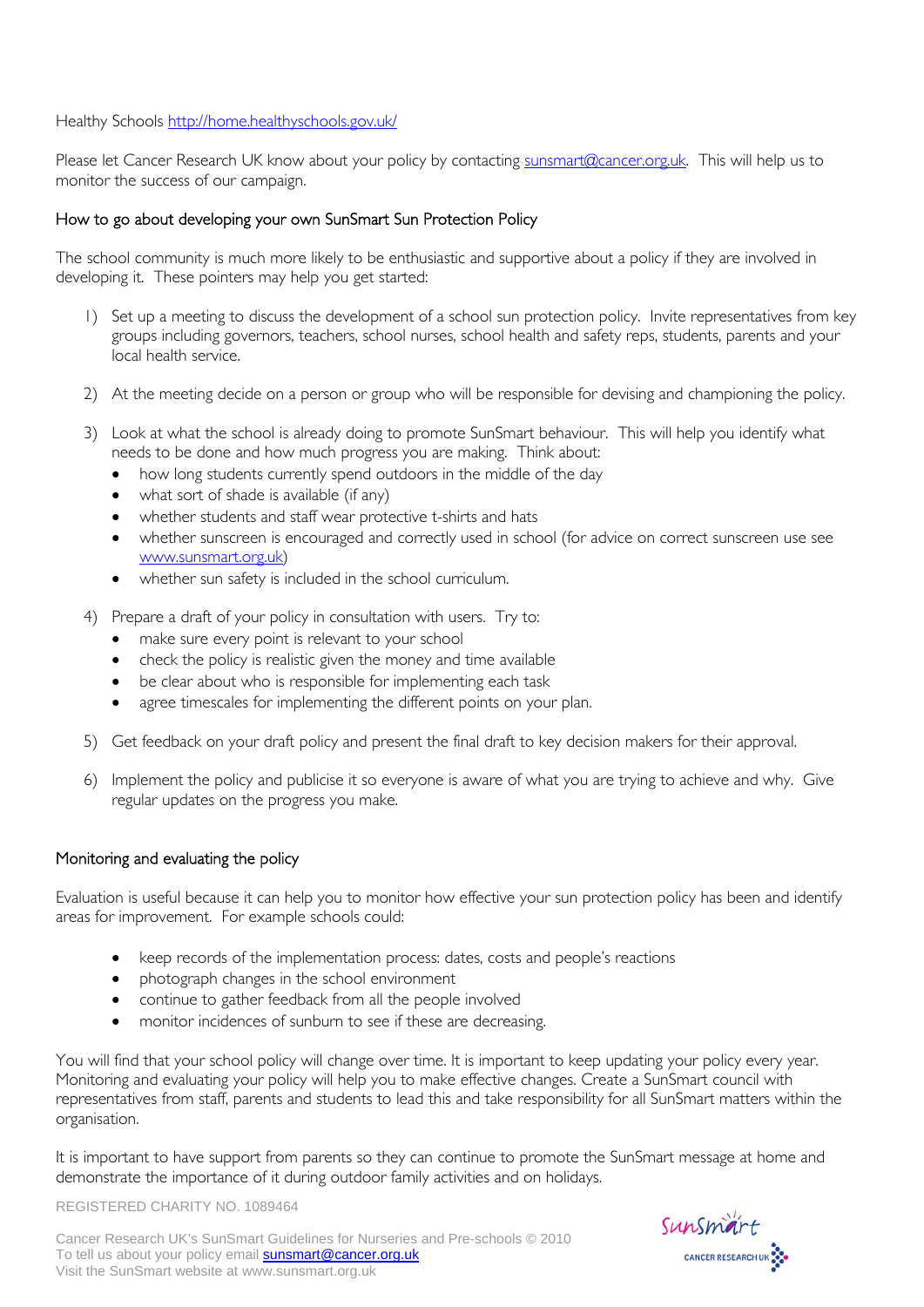Healthy Schools <http://home.healthyschools.gov.uk/>

Please let Cancer Research UK know about your policy by contacting [sunsmart@cancer.org.uk](mailto:sunsmart@cancer.org.uk). This will help us to monitor the success of our campaign.

## How to go about developing your own SunSmart Sun Protection Policy

The school community is much more likely to be enthusiastic and supportive about a policy if they are involved in developing it. These pointers may help you get started:

- 1) Set up a meeting to discuss the development of a school sun protection policy. Invite representatives from key groups including governors, teachers, school nurses, school health and safety reps, students, parents and your local health service.
- 2) At the meeting decide on a person or group who will be responsible for devising and championing the policy.
- 3) Look at what the school is already doing to promote SunSmart behaviour. This will help you identify what needs to be done and how much progress you are making. Think about:
	- how long students currently spend outdoors in the middle of the day
	- what sort of shade is available (if any)
	- whether students and staff wear protective t-shirts and hats
	- whether sunscreen is encouraged and correctly used in school (for advice on correct sunscreen use see <www.sunsmart.org.uk>)
	- whether sun safety is included in the school curriculum.
- 4) Prepare a draft of your policy in consultation with users. Try to:
	- make sure every point is relevant to your school
	- check the policy is realistic given the money and time available
	- be clear about who is responsible for implementing each task
	- agree timescales for implementing the different points on your plan.
- 5) Get feedback on your draft policy and present the final draft to key decision makers for their approval.
- 6) Implement the policy and publicise it so everyone is aware of what you are trying to achieve and why. Give regular updates on the progress you make.

### Monitoring and evaluating the policy

Evaluation is useful because it can help you to monitor how effective your sun protection policy has been and identify areas for improvement. For example schools could:

- keep records of the implementation process: dates, costs and people's reactions
- photograph changes in the school environment
- continue to gather feedback from all the people involved
- monitor incidences of sunburn to see if these are decreasing.

You will find that your school policy will change over time. It is important to keep updating your policy every year. Monitoring and evaluating your policy will help you to make effective changes. Create a SunSmart council with representatives from staff, parents and students to lead this and take responsibility for all SunSmart matters within the organisation.

It is important to have support from parents so they can continue to promote the SunSmart message at home and demonstrate the importance of it during outdoor family activities and on holidays.

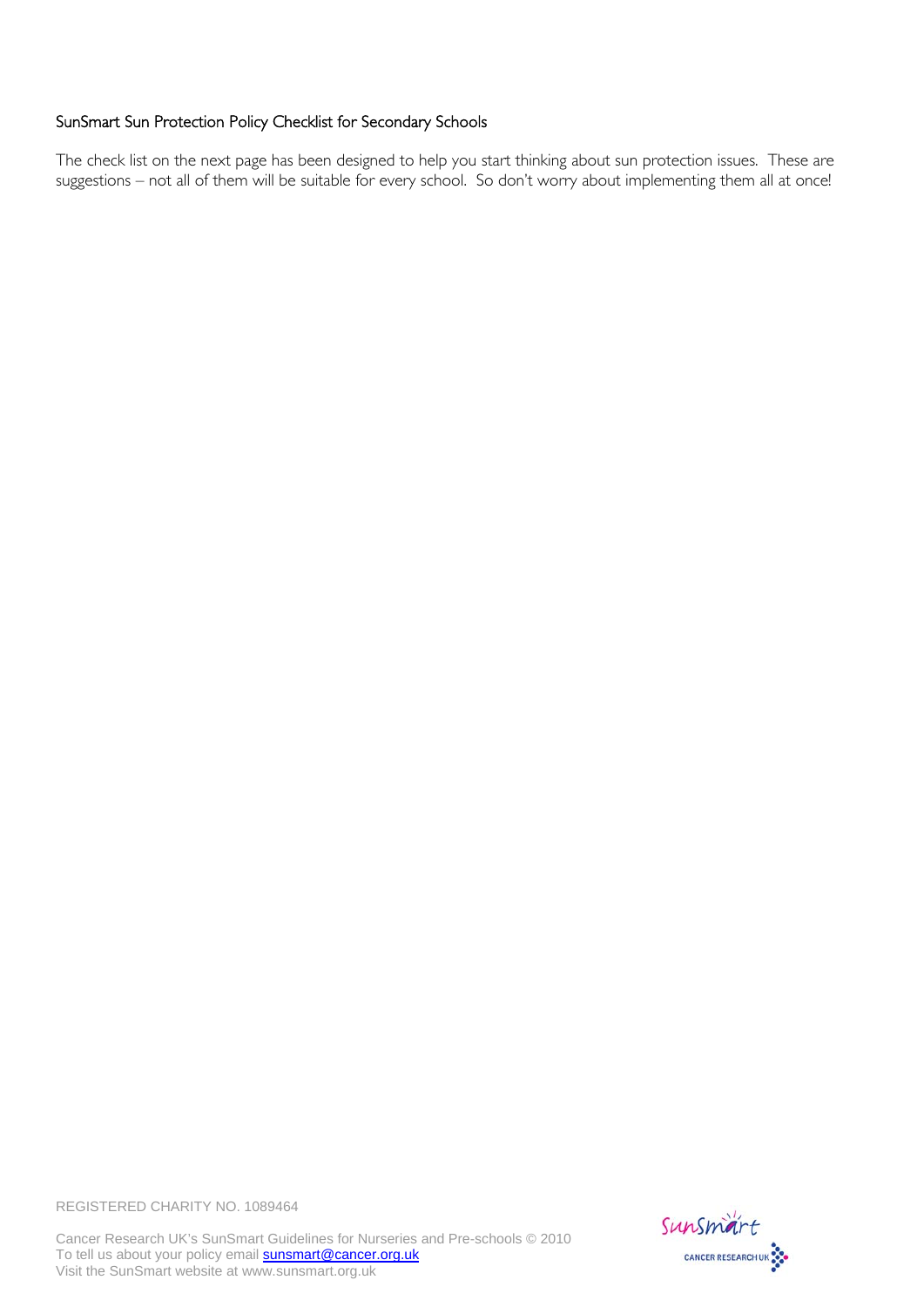## SunSmart Sun Protection Policy Checklist for Secondary Schools

The check list on the next page has been designed to help you start thinking about sun protection issues. These are suggestions – not all of them will be suitable for every school. So don't worry about implementing them all at once!



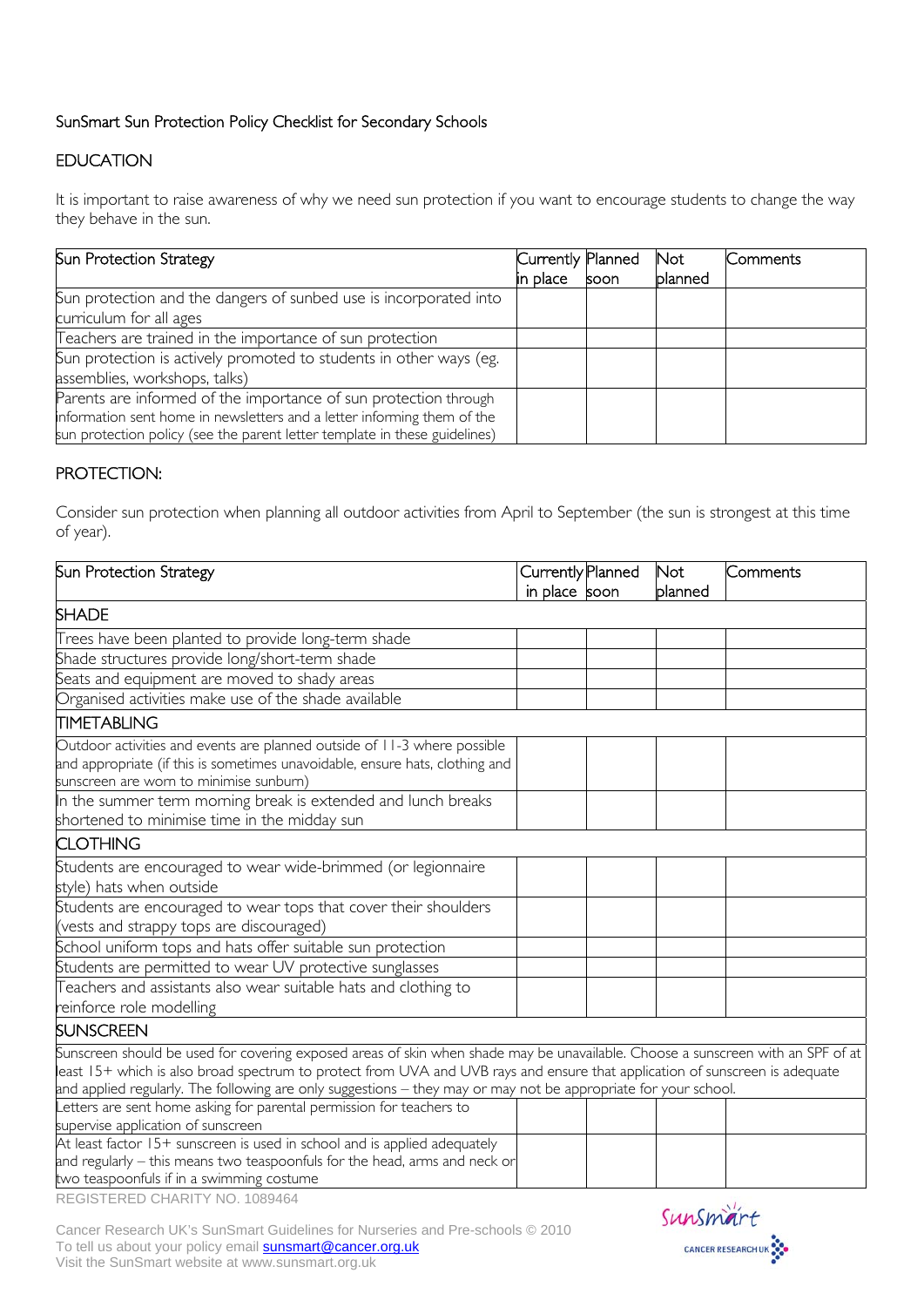# SunSmart Sun Protection Policy Checklist for Secondary Schools

# EDUCATION

It is important to raise awareness of why we need sun protection if you want to encourage students to change the way they behave in the sun.

| Sun Protection Strategy                                                                                                                                                                                                   | Currently Planned<br>in place | <b>soon</b> | <b>Not</b><br>blanned | Comments |
|---------------------------------------------------------------------------------------------------------------------------------------------------------------------------------------------------------------------------|-------------------------------|-------------|-----------------------|----------|
| Sun protection and the dangers of sunbed use is incorporated into<br>curriculum for all ages                                                                                                                              |                               |             |                       |          |
| Teachers are trained in the importance of sun protection<br>Sun protection is actively promoted to students in other ways (eg.<br>assemblies, workshops, talks)                                                           |                               |             |                       |          |
| Parents are informed of the importance of sun protection through<br>information sent home in newsletters and a letter informing them of the<br>sun protection policy (see the parent letter template in these guidelines) |                               |             |                       |          |

# PROTECTION:

Consider sun protection when planning all outdoor activities from April to September (the sun is strongest at this time of year).

| Sun Protection Strategy                                                                                                                                                                                                                                                                                                                                                            | Currently Planned | <b>Not</b> | Comments |
|------------------------------------------------------------------------------------------------------------------------------------------------------------------------------------------------------------------------------------------------------------------------------------------------------------------------------------------------------------------------------------|-------------------|------------|----------|
|                                                                                                                                                                                                                                                                                                                                                                                    | in place soon     | planned    |          |
| <b>SHADE</b>                                                                                                                                                                                                                                                                                                                                                                       |                   |            |          |
| Trees have been planted to provide long-term shade                                                                                                                                                                                                                                                                                                                                 |                   |            |          |
| Shade structures provide long/short-term shade                                                                                                                                                                                                                                                                                                                                     |                   |            |          |
| Seats and equipment are moved to shady areas                                                                                                                                                                                                                                                                                                                                       |                   |            |          |
| Organised activities make use of the shade available                                                                                                                                                                                                                                                                                                                               |                   |            |          |
| <b>TIMETABLING</b>                                                                                                                                                                                                                                                                                                                                                                 |                   |            |          |
| Outdoor activities and events are planned outside of 11-3 where possible<br>and appropriate (if this is sometimes unavoidable, ensure hats, clothing and<br>sunscreen are worn to minimise sunburn)                                                                                                                                                                                |                   |            |          |
| In the summer term morning break is extended and lunch breaks                                                                                                                                                                                                                                                                                                                      |                   |            |          |
| shortened to minimise time in the midday sun                                                                                                                                                                                                                                                                                                                                       |                   |            |          |
| <b>CLOTHING</b>                                                                                                                                                                                                                                                                                                                                                                    |                   |            |          |
| Students are encouraged to wear wide-brimmed (or legionnaire<br>style) hats when outside                                                                                                                                                                                                                                                                                           |                   |            |          |
| Students are encouraged to wear tops that cover their shoulders                                                                                                                                                                                                                                                                                                                    |                   |            |          |
| (vests and strappy tops are discouraged)                                                                                                                                                                                                                                                                                                                                           |                   |            |          |
| School uniform tops and hats offer suitable sun protection                                                                                                                                                                                                                                                                                                                         |                   |            |          |
| Students are permitted to wear UV protective sunglasses                                                                                                                                                                                                                                                                                                                            |                   |            |          |
| Teachers and assistants also wear suitable hats and clothing to<br>reinforce role modelling                                                                                                                                                                                                                                                                                        |                   |            |          |
| SUNSCREEN                                                                                                                                                                                                                                                                                                                                                                          |                   |            |          |
| Sunscreen should be used for covering exposed areas of skin when shade may be unavailable. Choose a sunscreen with an SPF of at<br>least 15+ which is also broad spectrum to protect from UVA and UVB rays and ensure that application of sunscreen is adequate<br>and applied regularly. The following are only suggestions - they may or may not be appropriate for your school. |                   |            |          |
| Letters are sent home asking for parental permission for teachers to<br>supervise application of sunscreen                                                                                                                                                                                                                                                                         |                   |            |          |
| At least factor 15+ sunscreen is used in school and is applied adequately<br>and regularly – this means two teaspoonfuls for the head, arms and neck or<br>two teaspoonfuls if in a swimming costume                                                                                                                                                                               |                   |            |          |



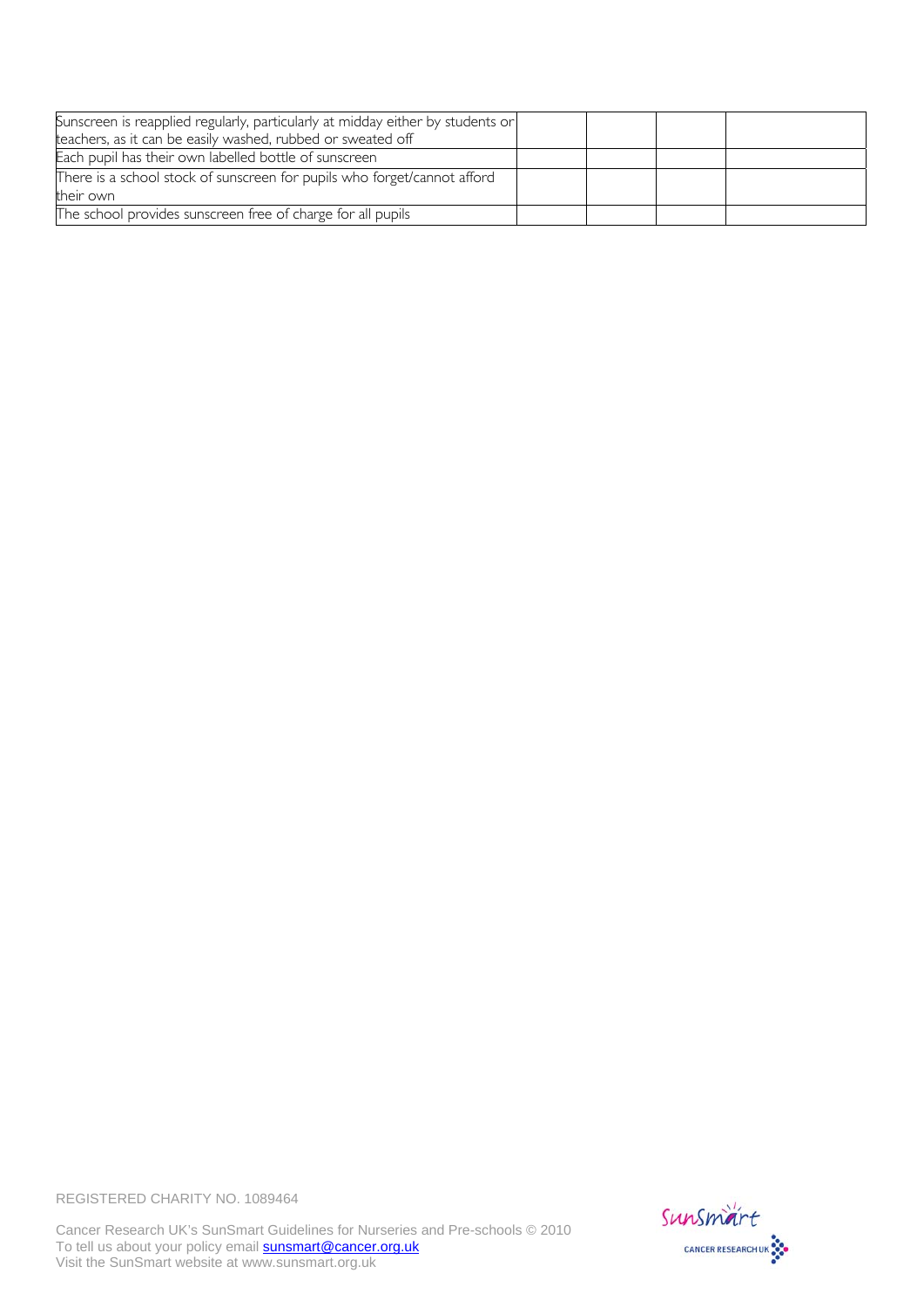| Sunscreen is reapplied regularly, particularly at midday either by students or |  |  |
|--------------------------------------------------------------------------------|--|--|
| teachers, as it can be easily washed, rubbed or sweated off                    |  |  |
| Each pupil has their own labelled bottle of sunscreen                          |  |  |
| There is a school stock of sunscreen for pupils who forget/cannot afford       |  |  |
| their own                                                                      |  |  |
| The school provides sunscreen free of charge for all pupils                    |  |  |



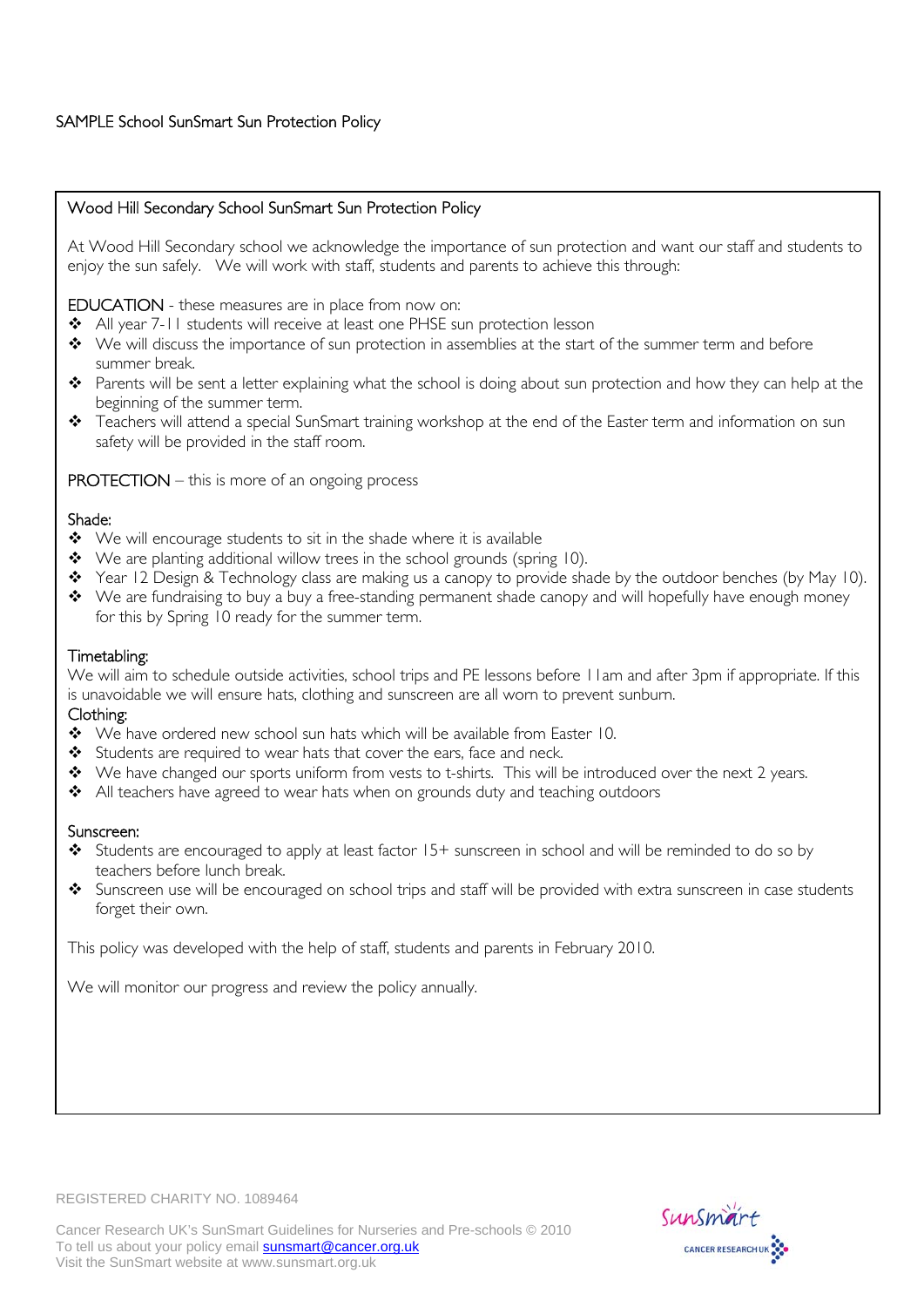# SAMPLE School SunSmart Sun Protection Policy

## Wood Hill Secondary School SunSmart Sun Protection Policy

At Wood Hill Secondary school we acknowledge the importance of sun protection and want our staff and students to enjoy the sun safely. We will work with staff, students and parents to achieve this through:

EDUCATION - these measures are in place from now on:

- ◆ All year 7-11 students will receive at least one PHSE sun protection lesson
- $\bullet\bullet\;\;$  We will discuss the importance of sun protection in assemblies at the start of the summer term and before summer break.
- \* Parents will be sent a letter explaining what the school is doing about sun protection and how they can help at the beginning of the summer term.
- \* Teachers will attend a special SunSmart training workshop at the end of the Easter term and information on sun safety will be provided in the staff room.

## PROTECTION – this is more of an ongoing process

### Shade:

- ◆ We will encourage students to sit in the shade where it is available
- ◆ We are planting additional willow trees in the school grounds (spring 10).
- Year 12 Design & Technology class are making us a canopy to provide shade by the outdoor benches (by May 10).
- \* We are fundraising to buy a buy a free-standing permanent shade canopy and will hopefully have enough money for this by Spring 10 ready for the summer term.

### Timetabling:

We will aim to schedule outside activities, school trips and PE lessons before 11am and after 3pm if appropriate. If this is unavoidable we will ensure hats, clothing and sunscreen are all worn to prevent sunburn.

### Clothing:

- \* We have ordered new school sun hats which will be available from Easter 10.
- Students are required to wear hats that cover the ears, face and neck.
- \* We have changed our sports uniform from vests to t-shirts. This will be introduced over the next 2 years.
- All teachers have agreed to wear hats when on grounds duty and teaching outdoors

### Sunscreen:

- Students are encouraged to apply at least factor 15+ sunscreen in school and will be reminded to do so by teachers before lunch break.
- Sunscreen use will be encouraged on school trips and staff will be provided with extra sunscreen in case students forget their own.

This policy was developed with the help of staff, students and parents in February 2010.

We will monitor our progress and review the policy annually.